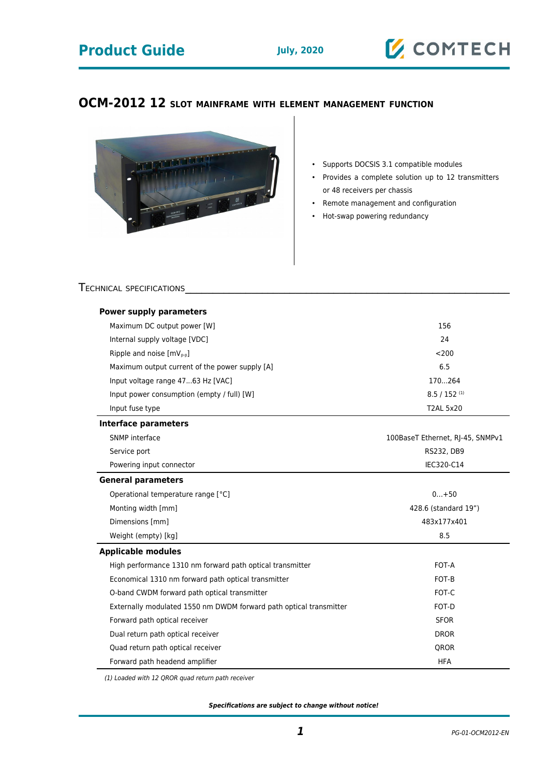## **Product Guide July, 2020**



## **OCM-2012 12 SLOT MAINFRAME WITH ELEMENT MANAGEMENT FUNCTION**



- Supports DOCSIS 3.1 compatible modules
- Provides a complete solution up to 12 transmitters or 48 receivers per chassis
- Remote management and configuration
- Hot-swap powering redundancy

## TECHNICAL SPECIFICATIONS

| <b>Power supply parameters</b>                                              |                                  |  |  |  |  |
|-----------------------------------------------------------------------------|----------------------------------|--|--|--|--|
| Maximum DC output power [W]                                                 | 156                              |  |  |  |  |
| Internal supply voltage [VDC]                                               | 24                               |  |  |  |  |
| Ripple and noise $[mV_{p-p}]$                                               | < 200                            |  |  |  |  |
| Maximum output current of the power supply [A]                              | 6.5                              |  |  |  |  |
| Input voltage range 4763 Hz [VAC]                                           | 170264                           |  |  |  |  |
| Input power consumption (empty / full) [W]                                  | $8.5 / 152$ <sup>(1)</sup>       |  |  |  |  |
| Input fuse type                                                             | <b>T2AL 5x20</b>                 |  |  |  |  |
| <b>Interface parameters</b>                                                 |                                  |  |  |  |  |
| SNMP interface                                                              | 100BaseT Ethernet, RI-45, SNMPv1 |  |  |  |  |
| Service port                                                                | RS232, DB9                       |  |  |  |  |
| Powering input connector                                                    | IEC320-C14                       |  |  |  |  |
| <b>General parameters</b>                                                   |                                  |  |  |  |  |
| Operational temperature range [°C]                                          | $0+50$                           |  |  |  |  |
| Monting width [mm]                                                          | 428.6 (standard 19")             |  |  |  |  |
| Dimensions [mm]                                                             | 483x177x401                      |  |  |  |  |
| Weight (empty) [kg]                                                         | 8.5                              |  |  |  |  |
| <b>Applicable modules</b>                                                   |                                  |  |  |  |  |
| High performance 1310 nm forward path optical transmitter                   | FOT-A                            |  |  |  |  |
| Economical 1310 nm forward path optical transmitter                         | FOT-B                            |  |  |  |  |
| O-band CWDM forward path optical transmitter                                | FOT-C                            |  |  |  |  |
| Externally modulated 1550 nm DWDM forward path optical transmitter<br>FOT-D |                                  |  |  |  |  |
| Forward path optical receiver<br><b>SFOR</b>                                |                                  |  |  |  |  |
| Dual return path optical receiver                                           | <b>DROR</b>                      |  |  |  |  |
| Quad return path optical receiver<br><b>QROR</b>                            |                                  |  |  |  |  |
| Forward path headend amplifier                                              | <b>HFA</b>                       |  |  |  |  |

(1) Loaded with 12 QROR quad return path receiver

**Specifications are subject to change without notice!**